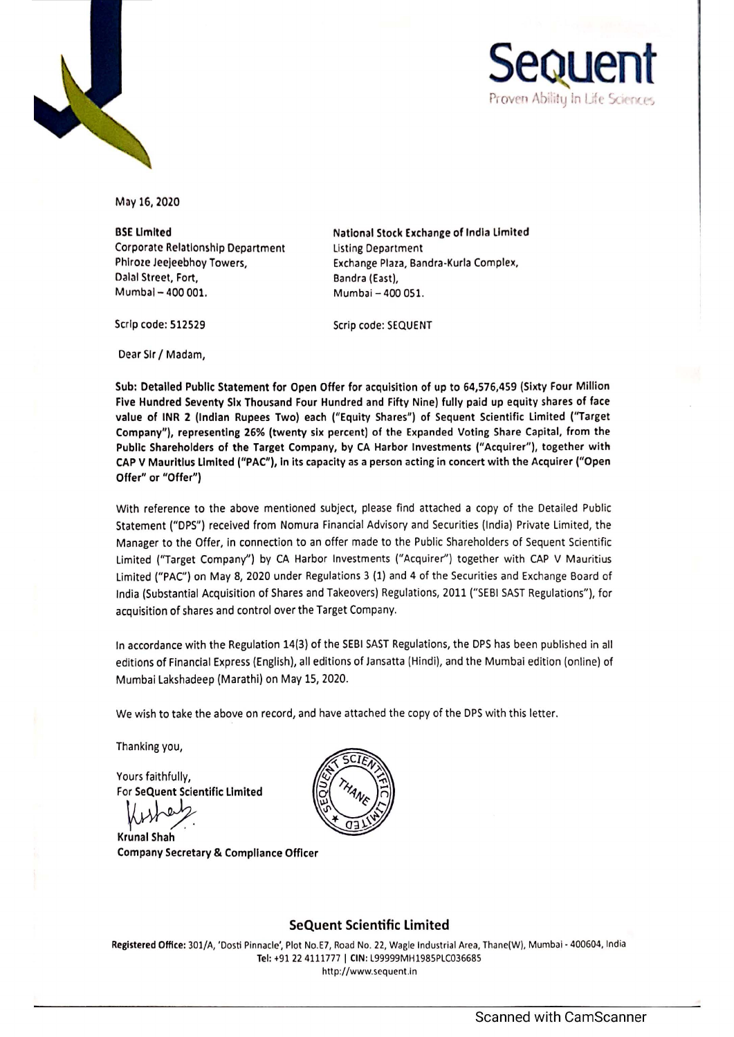



May 16, 2020

**0SE Limited**  Corporate Relationship Department Phlroze Jeejeebhoy Towers, Dalal Street, Fort, Mumbai - 400 001.

**National Stock Exchange of India Limited**  Listing Department Exchange Plaza, Bandra-Kurla Complex, Bandra (East), Mumbai - 400 051.

Scrip code: 512529

Scrip code: SEQUENT

Dear Sir/ Madam,

Sub: **Detailed** Public **Statement** for Open Offer for acquisition of up to 64,576,459 (Sixty Four Million **Five Hundred Seventy Six Thousand Four** Hundred and Fifty Nine) fully **paid** up equity **shares of face value of INR 2 (lndlan Rupees Two) each ("Equity Shares")** of Sequent Scientific Limited **("Target Company"), representing 26% (twenty six** percent) of the Expanded Voting Share Capital, from the **Public Shareholders of the Target Company, by CA** Harbor Investments ("Acquirer"), together **with CAP V Mauritius Limited ("PAC"),** In **Its capacity** as a person acting in concert **with** the **Acquirer** ("Open **Offer" or "Offer")** 

With reference to the above mentioned subject, please find attached a copy of the Detailed Public Statement ("DPS") received from Nomura Financial Advisory and Securities (India) Private Limited, the Manager to the Offer, in connection to an offer made to the Public Shareholders of Sequent Scientific Limited ("Target Company") by CA Harbor Investments ("Acquirer'') together with CAP V Mauritius Limited ("PAC") on May 8, 2020 under Regulations 3 (1) and 4 of the Securities and Exchange Board of India (Substantial Acquisition of Shares and Takeovers) Regulations, 2011 ("SEBI SAST Regulations"), for acquisition of shares and control over the Target Company.

In accordance with the Regulation 14(3) of the SEBI SAST Regulations, the DPS has been published in all editions of Financial Express (English), all editions of Jansatta (Hindi), and the Mumbai edition (online) of Mumbai Lakshadeep (Marathi) on May 15, 2020.

We wish to take the above on record, and have attached the copy of the DPS with this letter.

Thanking you,

Yours faithfully, For **SeQuent Scientific Limited**  ~ **Shah** 

**Krunal** 

**Company Secretary** & **Compliance Officer** 



#### **SeQuent Scientific Limited**

**Registered Office:** 301/A, 'Dosti Pinnacle', Plot No.E7, Road No. 22, Wagle Industrial Area, Thane(W), Mumbai - 400604, India **Tel:** +91224111777 I **CIN:** L99999MH1985PLC036685 http://www.sequent.in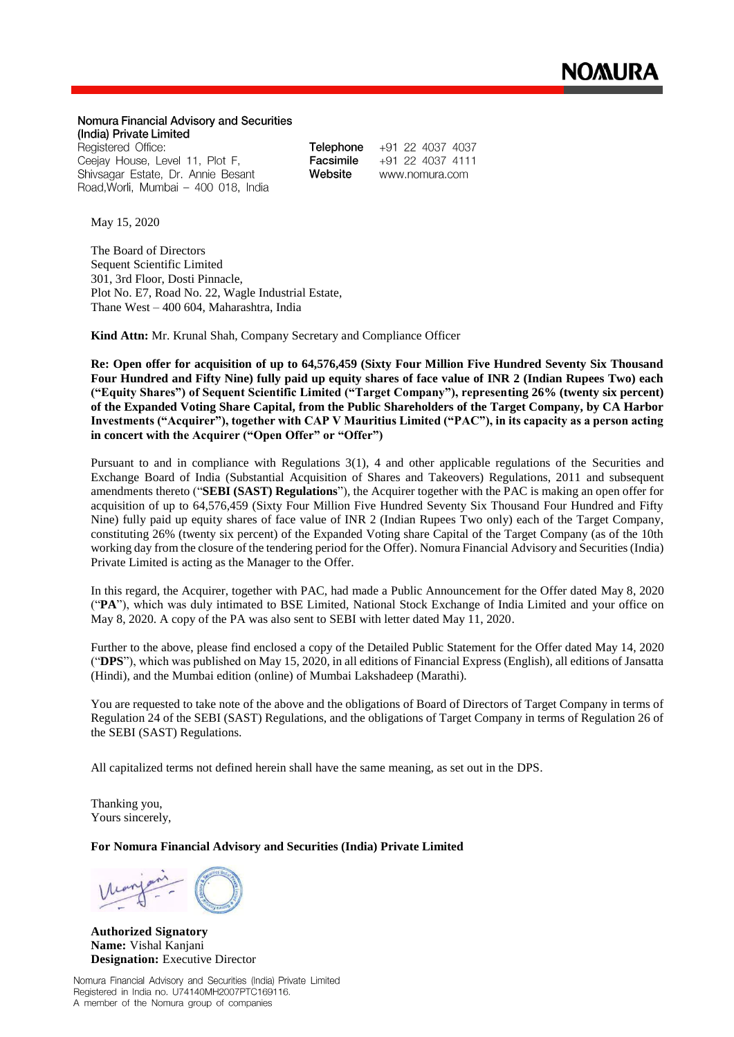**Nomura Financial Advisory and Securities (India) Private Limited**  Registered Office: Ceejay House, Level 11, Plot F, Shivsagar Estate, Dr. Annie Besant

Road, Worli, Mumbai - 400 018, India

**Telephone** +91 22 4037 4037<br>**Facsimile** +91 22 4037 4111 **Facsimile** +91 22 4037 4111<br>**Website** www.nomura.com **Website** www.nomura.com

May 15, 2020

The Board of Directors Sequent Scientific Limited 301, 3rd Floor, Dosti Pinnacle, Plot No. E7, Road No. 22, Wagle Industrial Estate, Thane West – 400 604, Maharashtra, India

**Kind Attn:** Mr. Krunal Shah, Company Secretary and Compliance Officer

**Re: Open offer for acquisition of up to 64,576,459 (Sixty Four Million Five Hundred Seventy Six Thousand Four Hundred and Fifty Nine) fully paid up equity shares of face value of INR 2 (Indian Rupees Two) each ("Equity Shares") of Sequent Scientific Limited ("Target Company"), representing 26% (twenty six percent) of the Expanded Voting Share Capital, from the Public Shareholders of the Target Company, by CA Harbor Investments ("Acquirer"), together with CAP V Mauritius Limited ("PAC"), in its capacity as a person acting in concert with the Acquirer ("Open Offer" or "Offer")**

Pursuant to and in compliance with Regulations 3(1), 4 and other applicable regulations of the Securities and Exchange Board of India (Substantial Acquisition of Shares and Takeovers) Regulations, 2011 and subsequent amendments thereto ("**SEBI (SAST) Regulations**"), the Acquirer together with the PAC is making an open offer for acquisition of up to 64,576,459 (Sixty Four Million Five Hundred Seventy Six Thousand Four Hundred and Fifty Nine) fully paid up equity shares of face value of INR 2 (Indian Rupees Two only) each of the Target Company, constituting 26% (twenty six percent) of the Expanded Voting share Capital of the Target Company (as of the 10th working day from the closure of the tendering period for the Offer). Nomura Financial Advisory and Securities (India) Private Limited is acting as the Manager to the Offer.

In this regard, the Acquirer, together with PAC, had made a Public Announcement for the Offer dated May 8, 2020 ("**PA**"), which was duly intimated to BSE Limited, National Stock Exchange of India Limited and your office on May 8, 2020. A copy of the PA was also sent to SEBI with letter dated May 11, 2020.

Further to the above, please find enclosed a copy of the Detailed Public Statement for the Offer dated May 14, 2020 ("**DPS**"), which was published on May 15, 2020, in all editions of Financial Express (English), all editions of Jansatta (Hindi), and the Mumbai edition (online) of Mumbai Lakshadeep (Marathi).

You are requested to take note of the above and the obligations of Board of Directors of Target Company in terms of Regulation 24 of the SEBI (SAST) Regulations, and the obligations of Target Company in terms of Regulation 26 of the SEBI (SAST) Regulations.

All capitalized terms not defined herein shall have the same meaning, as set out in the DPS.

Thanking you, Yours sincerely,

**For Nomura Financial Advisory and Securities (India) Private Limited**

**Authorized Signatory Name:** Vishal Kanjani **Designation:** Executive Director

Nomura Financial Advisory and Securities (India) Private Limited Registered in India no. U7 4140MH2007PTC169116. A member of the Nomura group of companies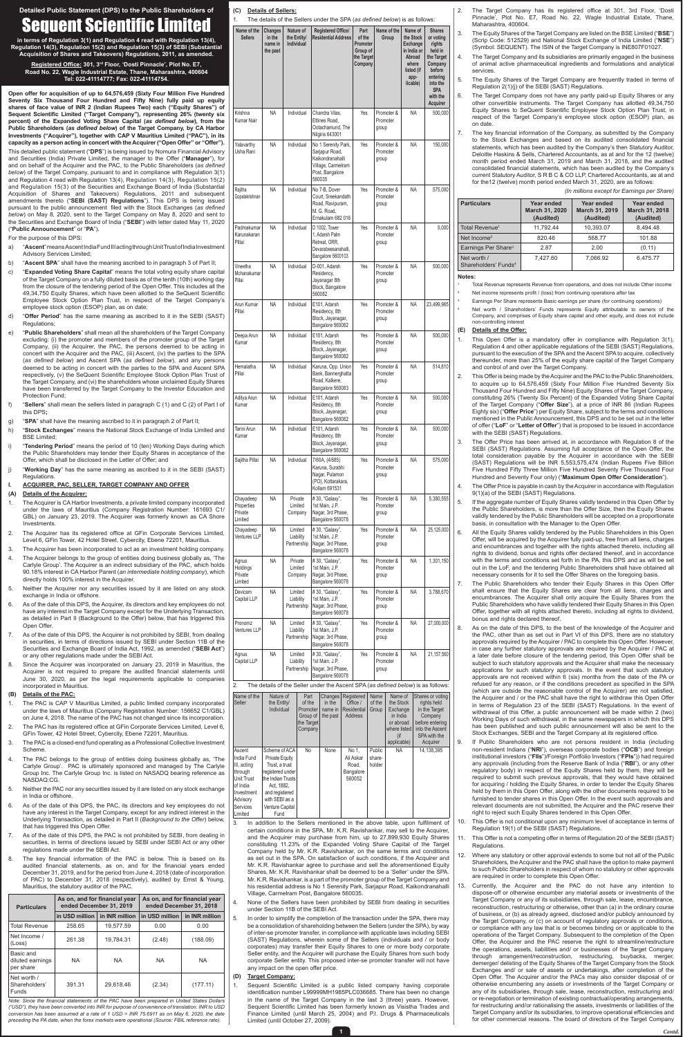### **Detailed Public Statement (DPS) to the Public Shareholders of**

# **Sequent Scientific Limited**

**in terms of Regulation 3(1) and Regulation 4 read with Regulation 13(4), Regulation 14(3), Regulation 15(2) and Regulation 15(3) of SEBI (Substantial Acquisition of Shares and Takeovers) Regulations, 2011, as amended.**

#### Registered Office: 301, 3<sup>rd</sup> Floor, 'Dosti Pinnacle', Plot No. E7, **Road No. 22, Wagle Industrial Estate, Thane, Maharashtra, 400604 Tel: 022-41114777; Fax: 022-41114754.**

**Open offer for acquisition of up to 64,576,459 (Sixty Four Million Five Hundred Seventy Six Thousand Four Hundred and Fifty Nine) fully paid up equity shares of face value of INR 2 (Indian Rupees Two) each ("Equity Shares") of**  Sequent Scientific Limited ("Target Company"), representing 26% (twenty six percent) of the Expanded Voting Share Capital (*as defined below*), from the Public Shareholders (as defined below) of the Target Company, by CA Harbor **Investments ("Acquirer"), together with CAP V Mauritius Limited ("PAC"), in its capacity as a person acting in concert with the Acquirer ("Open Offer" or "Offer").**  This detailed public statement ("**DPS**") is being issued by Nomura Financial Advisory and Securities (India) Private Limited, the manager to the Offer ("**Manager**"), for and on behalf of the Acquirer and the PAC, to the Public Shareholders (as defined *below*) of the Target Company, pursuant to and in compliance with Regulation 3(1) and Regulation 4 read with Regulation 13(4), Regulation 14(3), Regulation 15(2) and Regulation 15(3) of the Securities and Exchange Board of India (Substantial Acquisition of Shares and Takeovers) Regulations, 2011 and subsequent amendments thereto ("**SEBI (SAST) Regulations**"). This DPS is being issued pursuant to the public announcement filed with the Stock Exchanges (as defined *below*) on May 8, 2020, sent to the Target Company on May 8, 2020 and sent to the Securities and Exchange Board of India ("**SEBI**") with letter dated May 11, 2020 ("**Public Announcement**" or "**PA**").

For the purpose of this DPS:

Since the Acquirer was incorporated on January 23, 2019 in Mauritius, the Acquirer is not required to prepare the audited financial statements until June 30, 2020, as per the legal requirements applicable to companies incorporated in Mauritius.

- a) "**Ascent**" means Ascent India Fund III acting through Unit Trust of India Investment Advisory Services Limited;
- b) "**Ascent SPA**" shall have the meaning ascribed to in paragraph 3 of Part II;
- c) "**Expanded Voting Share Capital**" means the total voting equity share capital of the Target Company on a fully diluted basis as of the tenth (10th) working day from the closure of the tendering period of the Open Offer. This includes all the 49,34,750 Equity Shares, which have been allotted to the SeQuent Scientific Employee Stock Option Plan Trust, in respect of the Target Company's employee stock option (ESOP) plan, as on date;
- d) "**Offer Period**" has the same meaning as ascribed to it in the SEBI (SAST) Regulations;
- e) "**Public Shareholders**" shall mean all the shareholders of the Target Company excluding: (i) the promoter and members of the promoter group of the Target Company, (ii) the Acquirer, the PAC, the persons deemed to be acting in concert with the Acquirer and the PAC, (iii) Ascent, (iv) the parties to the SPA (*as defined below*) and Ascent SPA (*as defined below*), and any persons deemed to be acting in concert with the parties to the SPA and Ascent SPA respectively, (v) the SeQuent Scientific Employee Stock Option Plan Trust of the Target Company, and (vi) the shareholders whose unclaimed Equity Shares have been transferred by the Target Company to the Investor Education and Protection Fund;
- f) "**Sellers**" shall mean the sellers listed in paragraph C (1) and C (2) of Part I of th is DPS**;**
- g) "**SPA**" shall have the meaning ascribed to it in paragraph 2 of Part II;
- h) "**Stock Exchanges**" means the National Stock Exchange of India Limited and BSE Limited;
- i) "**Tendering Period**" means the period of 10 (ten) Working Days during which the Public Shareholders may tender their Equity Shares in acceptance of the Offer, which shall be disclosed in the Letter of Offer; and
- j) "**Working Day**" has the same meaning as ascribed to it in the SEBI (SAST) **Requlations**
- **I. ACQUIRER, PAC, SELLER, TARGET COMPANY AND OFFER**
- **(A) Details of the Acquirer:**
- 1. The Acquirer is CA Harbor Investments, a private limited company incorporated under the laws of Mauritius (Company Registration Number: 161693 C1/ GBL) on January 23, 2019. The Acquirer was formerly known as CA Shore Investments.
- 2. The Acquirer has its registered office at GFin Corporate Services Limited, Level 6, GFin Tower, 42 Hotel Street, Cybercity, Ebene 72201, Mauritius.
- 3. The Acquirer has been incorporated to act as an investment holding company.
- 4. The Acquirer belongs to the group of entities doing business globally as, 'The Carlyle Group'. The Acquirer is an indirect subsidiary of the PAC, which holds 90.18% interest in CA Harbor Parent (*an intermediate holding company*), which directly holds 100% interest in the Acquirer.
- 5. Neither the Acquirer nor any securities issued by it are listed on any stock exchange in India or offshore.
- 6. As of the date of this DPS, the Acquirer, its directors and key employees do not have any interest in the Target Company except for the Underlying Transaction, as detailed in Part II (Background to the Offer) below, that has triggered this Open Offer.
- 7. As of the date of this DPS, the Acquirer is not prohibited by SEBI, from dealing in securities, in terms of directions issued by SEBI under Section 11B of the Securities and Exchange Board of India Act, 1992, as amended ("**SEBI Act**") or any other regulations made under the SEBI Act.

*Note: Since the financial statements of the PAC have been prepared in United States Dollars ("USD"), they have been converted into INR for purpose of convenience of translation. INR to USD conversion has been assumed at a rate of 1 USD = INR 75.6911 as on May 6, 2020, the date preceding the PA date, when the forex markets were operational (Source: FBIL reference rate).* 

2. The details of the Seller under the Ascent SPA (*as defined below*) is as follows:

#### **(B) Details of the PAC:**

- 1. The PAC is CAP V Mauritius Limited, a public limited company incorporated under the laws of Mauritius (Company Registration Number: 156652 C1/GBL) on June 4, 2018. The name of the PAC has not changed since its incorporation.
- 2. The PAC has its registered office at GFin Corporate Services Limited, Level 6, GFin Tower, 42 Hotel Street, Cybercity, Ebene 72201, Mauritius.
- 3. The PAC is a closed-end fund operating as a Professional Collective Investment Scheme.
- 4. The PAC belongs to the group of entities doing business globally as, 'The Carlyle Group'. PAC is ultimately sponsored and managed by The Carlyle Group Inc. The Carlyle Group Inc. is listed on NASADQ bearing reference as NASDAQ:CG.
- 5. Neither the PAC nor any securities issued by it are listed on any stock exchange in India or offshore.
- 6. As of the date of this DPS, the PAC, its directors and key employees do not have any interest in the Target Company, except for any indirect interest in the Underlying Transaction, as detailed in Part II (*Background to the Offer*) below, that has triggered this Open Offer.
- 7. As of the date of this DPS, the PAC is not prohibited by SEBI, from dealing in securities, in terms of directions issued by SEBI under SEBI Act or any other regulations made under the SEBI Act.
- 8. The key financial information of the PAC is below. This is based on its audited financial statements, as on, and for the financial years ended December 31, 2019, and for the period from June 4, 2018 (date of incorporation of PAC) to December 31, 2018 (respectively), audited by Ernst & Young, Mauritius, the statutory auditor of the PAC.
- In addition to the Sellers mentioned in the above table, upon fulfilment of certain conditions in the SPA, Mr. K.R. Ravishankar, may sell to the Acquirer, and the Acquirer may purchase from him, up to 27,899,930 Equity Shares constituting 11.23% of the Expanded Voting Share Capital of the Target Company held by Mr. K.R. Ravishankar, on the same terms and conditions as set out in the SPA. On satisfaction of such conditions, if the Acquirer and Mr. K.R. Ravishankar agree to purchase and sell the aforementioned Equity Shares, Mr. K.R. Ravishankar shall be deemed to be a 'Seller' under the SPA. Mr. K.R. Ravishankar, is a part of the promoter group of the Target Company and his residential address is No 1 Serenity Park, Sarjapur Road, Kaikondranahalli Village, Carmelram Post, Bangalore 560035.
- 4. None of the Sellers have been prohibited by SEBI from dealing in securities under Section 11B of the SEBI Act.
- 5. In order to simplify the completion of the transaction under the SPA, there may be a consolidation of shareholding between the Sellers (under the SPA), by way of inter-se promoter transfer, in compliance with applicable laws including SEBI (SAST) Regulations, wherein some of the Sellers (individuals and / or body corporates) may transfer their Equity Shares to one or more body corporate Seller entity, and the Acquirer will purchase the Equity Shares from such body corporate Seller entity. This proposed inter-se promoter transfer will not have any impact on the open offer price.

1. Sequent Scientific Limited is a public listed company having corporate identification number L99999MH1985PLC036685. There has been no change in the name of the Target Company in the last 3 (three) years. However, Sequent Scientific Limited has been formerly known as Visistha Trades and Finance Limited (until March 25, 2004) and P.I. Drugs & Pharmaceuticals Limited (until October 27, 2009).

| <b>Particulars</b>                           | As on, and for financial year<br>ended December 31, 2019 |                | As on, and for financial year<br>ended December 31, 2018 |                |
|----------------------------------------------|----------------------------------------------------------|----------------|----------------------------------------------------------|----------------|
|                                              | in USD million                                           | in INR million | in USD million                                           | in INR million |
| <b>Total Revenue</b>                         | 258.65                                                   | 19.577.59      | 0.00                                                     | 0.00           |
| Net Income /<br>(Loss)                       | 261.38                                                   | 19,784.31      | (2.48)                                                   | (188.09)       |
| Basic and<br>diluted earnings<br>per share   | <b>NA</b>                                                | <b>NA</b>      | <b>NA</b>                                                | <b>NA</b>      |
| Net worth /<br>Shareholders'<br><b>Funds</b> | 391.31                                                   | 29,618.46      | (2.34)                                                   | (177.11)       |

- The Target Company has its registered office at 301, 3rd Floor, 'Dosti Pinnacle', Plot No. E7, Road No. 22, Wagle Industrial Estate, Thane, Maharashtra, 400604.
- 3. The Equity Shares of the Target Company are listed on the BSE Limited ("**BSE**") (Scrip Code: 512529) and National Stock Exchange of India Limited ("**NSE**") (Symbol: SEQUENT). The ISIN of the Target Company is INE807F01027.
- The Target Company and its subsidiaries are primarily engaged in the business of animal active pharmaceutical ingredients and formulations and analytical services.
- 5. The Equity Shares of the Target Company are frequently traded in terms of Regulation 2(1)(j) of the SEBI (SAST) Regulations.
- The Target Company does not have any partly paid-up Equity Shares or any other convertible instruments. The Target Company has allotted 49,34,750 Equity Shares to SeQuent Scientific Employee Stock Option Plan Trust, in respect of the Target Company's employee stock option (ESOP) plan, as on date.
- The key financial information of the Company, as submitted by the Company to the Stock Exchanges and based on its audited consolidated financial statements, which has been audited by the Company's then Statutory Auditor, Deloitte Haskins & Sells, Chartered Accountants, as at and for the 12 (twelve) month period ended March 31, 2019 and March 31, 2018, and the audited consolidated financial statements, which has been audited by the Company's current Statutory Auditor, S R B C & CO LLP, Chartered Accountants, as at and for the12 (twelve) month period ended March 31, 2020, are as follows:

#### **(C) Details of Sellers:**

The details of the Sellers under the SPA (as defined below) is as follows:

- Total Revenue represents Revenue from operations, and does not include Other income Net income represents profit / (loss) from continuing operations after tax
- Earnings Per Share represents Basic earnings per share (for continuing operations)
- Net worth / Shareholders' Funds represents Equity attributable to owners of the Company, and comprises of Equity share capital and other equity, and does not include non-controlling interest

| Name of the<br><b>Sellers</b>                                                        | Changes<br>in the<br>name in<br>the past                                                                                                                  | Nature of<br>the Entity/<br>Individual             | Registered Office/<br><b>Residential Address</b>                                                                  | Part<br>of the<br><b>Promoter</b><br>Group of<br>the Target<br>Company | Name of the<br>Group            | Name of<br>the Stock<br><b>Exchange</b><br>in India or<br>Abroad<br>where<br>listed (if<br>app-<br>licable) | <b>Shares</b><br>or voting<br>rights<br>held in<br>the Target<br>Company<br>before<br>entering<br>into the<br><b>SPA</b><br>with the<br>Acquirer |
|--------------------------------------------------------------------------------------|-----------------------------------------------------------------------------------------------------------------------------------------------------------|----------------------------------------------------|-------------------------------------------------------------------------------------------------------------------|------------------------------------------------------------------------|---------------------------------|-------------------------------------------------------------------------------------------------------------|--------------------------------------------------------------------------------------------------------------------------------------------------|
| Krishna<br><b>Kumar Nair</b>                                                         | <b>NA</b>                                                                                                                                                 | Individual                                         | Chandra Vilas,<br>Ettines Road,<br>Ootachamund, The<br>Nilgiris 643001                                            | Yes                                                                    | Promoter &<br>Promoter<br>group | <b>NA</b>                                                                                                   | 500,000                                                                                                                                          |
| Yalavarthy<br>Usha Rani                                                              | <b>NA</b>                                                                                                                                                 | Individual                                         | No 1 Serenity Park,<br>Sarjapur Road,<br>Kaikondranahalli<br>Village, Carmelram<br>Post, Bangalore<br>560035      | Yes                                                                    | Promoter &<br>Promoter<br>group | <b>NA</b>                                                                                                   | 150,000                                                                                                                                          |
| Rajitha<br>Gopalakrishnan                                                            | <b>NA</b>                                                                                                                                                 | Individual                                         | No 7-B, Dover<br>Court, Sreekandath<br>Road, Ravipuram,<br>M. G. Road,<br>Ernakulam 682 016                       | Yes<br>Promoter &<br>Promoter<br>group                                 |                                 | <b>NA</b>                                                                                                   | 575,000                                                                                                                                          |
| Padmakumar<br>Karunakaran<br>Pillai                                                  | <b>NA</b><br>Individual<br>Yes<br>D 1002, Tower<br>1, Adarsh Palm<br>Retreat, ORR,<br>group<br>Devarabeesanahalli,<br>Bangalore 5600103                   |                                                    | Promoter &<br>Promoter                                                                                            | <b>NA</b>                                                              | 5,000                           |                                                                                                             |                                                                                                                                                  |
| Vineetha<br><b>NA</b><br>Individual<br>Mohanakumar<br>Residency,<br>Pillai<br>560082 |                                                                                                                                                           | D-001, Adarsh<br>Jayanagar 8th<br>Block, Bangalore | Yes                                                                                                               | Promoter &<br>Promoter<br>group                                        | NA                              | 500,000                                                                                                     |                                                                                                                                                  |
| Arun Kumar<br>Pillai                                                                 | <b>NA</b>                                                                                                                                                 | Individual                                         | E101, Adarsh<br>Residency, 8th<br>Block, Jayanagar,<br>Bangalore 560082                                           | Yes                                                                    | Promoter &<br>Promoter<br>group | <b>NA</b>                                                                                                   | 23,499,965                                                                                                                                       |
| Deepa Arun<br>Kumar                                                                  | <b>NA</b>                                                                                                                                                 | Individual                                         | E101, Adarsh<br>Yes<br>Promoter &<br>Residency, 8th<br>Promoter<br>Block, Jayanagar,<br>group<br>Bangalore 560082 |                                                                        | <b>NA</b>                       | 500,000                                                                                                     |                                                                                                                                                  |
| Hemalatha<br>Pillai                                                                  | ΝA                                                                                                                                                        | Individual                                         | Karuna, Opp. Union<br>Bank, Bannerghatta<br>Road, Kalkere,<br>Bangalore 560083                                    | Yes<br>Promoter &<br>Promoter<br>group                                 |                                 | NA                                                                                                          | 514,810                                                                                                                                          |
| Aditya Arun<br>Kumar                                                                 | <b>NA</b>                                                                                                                                                 | Individual                                         | E101, Adarsh<br>Yes<br>Promoter &<br>Residency, 8th<br>Promoter<br>Block, Jayanagar,<br>group<br>Bangalore 560082 |                                                                        | NA                              | 500,000                                                                                                     |                                                                                                                                                  |
| Tarini Arun<br>Kumar                                                                 | <b>NA</b><br>Individual<br>E101, Adarsh<br>Yes<br>Residency, 8th<br>Block, Jayanagar,<br>Bangalore 560082                                                 |                                                    | Promoter &<br>Promoter<br>group                                                                                   | <b>NA</b>                                                              | 500,000                         |                                                                                                             |                                                                                                                                                  |
| Sajitha Pillai                                                                       | <b>NA</b>                                                                                                                                                 | Individual                                         | 7/60A, (4/685)<br>Karuna, Surabhi<br>Nagar, Pulamon<br>(PO), Kottarakara,<br>Kollam 691531                        | Yes                                                                    | Promoter &<br>Promoter<br>group | <b>NA</b>                                                                                                   | 575,000                                                                                                                                          |
| Chayadeep<br>Properties<br>Private<br>Limited                                        | ΝA                                                                                                                                                        | Private<br>Limited<br>Company                      | #30, "Galaxy",<br>1st Main, J.P.<br>Nagar, 3rd Phase,<br>Bangalore 560078                                         | Yes                                                                    | Promoter &<br>Promoter<br>group | NA                                                                                                          | 5,380,555                                                                                                                                        |
| Chayadeep<br><b>Ventures LLP</b>                                                     | <b>NA</b><br>Limited<br>#30, "Galaxy",<br>Yes<br>Liability<br>1st Main, J.P.<br>Promoter<br>Nagar, 3rd Phase,<br>Partnership<br>group<br>Bangalore 560078 |                                                    | Promoter &                                                                                                        | <b>NA</b>                                                              | 25,125,000                      |                                                                                                             |                                                                                                                                                  |
| Agnus<br>Holdings<br>Private<br>Limited                                              | <b>NA</b>                                                                                                                                                 | Private<br>Limited<br>Company                      | #30, "Galaxy",<br>1st Main, J.P.<br>Nagar, 3rd Phase,<br>Bangalore 560078                                         | Yes                                                                    | Promoter &<br>Promoter<br>group | <b>NA</b>                                                                                                   | 1,301,150                                                                                                                                        |
| Devicam<br>Capital LLP                                                               | NA                                                                                                                                                        | Limited<br>Liability<br>Partnership                | #30, "Galaxy",<br>1st Main, J.P.<br>Nagar, 3rd Phase,<br>Bangalore 560078                                         | Yes                                                                    | Promoter &<br>Promoter<br>group | <b>NA</b>                                                                                                   | 3,788,670                                                                                                                                        |
| Pronomz<br>Ventures LLP                                                              | <b>NA</b>                                                                                                                                                 | Limited<br>Liability<br>Partnership                | #30, "Galaxy",<br>1st Main, J.P.<br>Nagar, 3rd Phase,<br>Bangalore 560078                                         | Yes                                                                    | Promoter &<br>Promoter<br>group | <b>NA</b>                                                                                                   | 27,000,000                                                                                                                                       |
| Agnus<br>Capital LLP                                                                 | NA                                                                                                                                                        | Limited<br>Liability<br>Partnership                | #30, "Galaxy",<br>1st Main, J.P.<br>Nagar, 3rd Phase,<br>Bangalore 560078                                         | Yes                                                                    | Promoter &<br>Promoter<br>group | <b>NA</b>                                                                                                   | 21,157,560                                                                                                                                       |

- This Open Offer is a mandatory offer in compliance with Regulation 3(1), Regulation 4 and other applicable regulations of the SEBI (SAST) Regulations, pursuant to the execution of the SPA and the Ascent SPA to acquire, collectively thereunder, more than 25% of the equity share capital of the Target Company and control of and over the Target Company.
- 2. This Offer is being made by the Acquirer and the PAC to the Public Shareholders, to acquire up to 64,576,459 (Sixty Four Million Five Hundred Seventy Six Thousand Four Hundred and Fifty Nine) Equity Shares of the Target Company, constituting 26% (Twenty Six Percent) of the Expanded Voting Share Capital of the Target Company ("**Offer Size**"), at a price of INR 86 (Indian Rupees Eighty six) ("**Offer Price**") per Equity Share, subject to the terms and conditions mentioned in the Public Announcement, this DPS and to be set out in the letter of offer ("**LoF**" or "**Letter of Offer**") that is proposed to be issued in accordance with the SEBI (SAST) Regulations.
- The Offer Price has been arrived at, in accordance with Regulation 8 of the SEBI (SAST) Regulations. Assuming full acceptance of the Open Offer, the total consideration payable by the Acquirer in accordance with the SEBI (SAST) Regulations will be INR 5,553,575,474 (Indian Rupees Five Billion Five Hundred Fifty Three Million Five Hundred Seventy Five Thousand Four Hundred and Seventy Four only) ("**Maximum Open Offer Consideration**").
- The Offer Price is payable in cash by the Acquirer in accordance with Regulation 9(1)(a) of the SEBI (SAST) Regulations.
- If the aggregate number of Equity Shares validly tendered in this Open Offer by the Public Shareholders, is more than the Offer Size, then the Equity Shares validly tendered by the Public Shareholders will be accepted on a proportionate basis, in consultation with the Manager to the Open Offer.
- All the Equity Shares validly tendered by the Public Shareholders in this Open Offer, will be acquired by the Acquirer fully paid-up, free from all liens, charges and encumbrances and together with the rights attached thereto, including all rights to dividend, bonus and rights offer declared thereof, and in accordance with the terms and conditions set forth in the PA, this DPS and as will be set out in the LoF, and the tendering Public Shareholders shall have obtained all necessary consents for it to sell the Offer Shares on the foregoing basis.
- The Public Shareholders who tender their Equity Shares in this Open Offer shall ensure that the Equity Shares are clear from all liens, charges and encumbrances. The Acquirer shall only acquire the Equity Shares from the Public Shareholders who have validly tendered their Equity Shares in this Open Offer, together with all rights attached thereto, including all rights to dividend, bonus and rights declared thereof.
- As on the date of this DPS, to the best of the knowledge of the Acquirer and the PAC, other than as set out in Part VI of this DPS, there are no statutory approvals required by the Acquirer / PAC to complete this Open Offer. However, in case any further statutory approvals are required by the Acquirer / PAC at a later date before closure of the tendering period, this Open Offer shall be

subject to such statutory approvals and the Acquirer shall make the necessary applications for such statutory approvals. In the event that such statutory approvals are not received within 6 (six) months from the date of the PA or refused for any reason, or if the conditions precedent as specified in the SPA (which are outside the reasonable control of the Acquirer) are not satisfied, the Acquirer and / or the PAC shall have the right to withdraw this Open Offer in terms of Regulation 23 of the SEBI (SAST) Regulations. In the event of withdrawal of this Offer, a public announcement will be made within 2 (two) Working Days of such withdrawal, in the same newspapers in which this DPS has been published and such public announcement will also be sent to the Stock Exchanges, SEBI and the Target Company at its registered office.

| Name of the<br>Seller                                                                                                     | Nature of<br>the Entity/<br>Individual                                                                                                                                                | Part<br>of the<br>Promoter<br>Group of<br>the Target<br>Company | <b>Changes</b><br>in the<br>name in<br>the past | Registered<br>Office /<br>Residential<br>Address   | Name<br>of the<br>Group    | Name of<br>the Stock<br>Exchange<br>in India<br>or abroad<br>where listed<br>(if<br>applicable) | Shares or voting<br>rights held<br>in the Target<br>Company<br>before entering<br>into the Ascent<br>SPA with the<br>Acquirer |
|---------------------------------------------------------------------------------------------------------------------------|---------------------------------------------------------------------------------------------------------------------------------------------------------------------------------------|-----------------------------------------------------------------|-------------------------------------------------|----------------------------------------------------|----------------------------|-------------------------------------------------------------------------------------------------|-------------------------------------------------------------------------------------------------------------------------------|
| Ascent<br>India Fund<br>III, acting<br>through<br>Unit Trust<br>of India<br>Investment<br>Advisory<br>Services<br>Limited | Scheme of ACA<br><b>Private Equity</b><br>Trust, a trust<br>registered under<br>the Indian Trusts<br>Act, 1882,<br>and registered<br>with SEBI as a<br><b>Venture Capital</b><br>Fund | No                                                              | None                                            | No 1.<br>Ali Askar<br>Road,<br>Bangalore<br>560052 | Public<br>share-<br>holder | <b>NA</b>                                                                                       | 14, 138, 395                                                                                                                  |

#### **(D) Target Company:**

#### *(In millions except for Earnings per Share)*

| <b>Particulars</b>                              | Year ended<br>March 31, 2020<br>(Audited) | Year ended<br>March 31, 2019<br>(Audited) | Year ended<br>March 31, 2018<br>(Audited) |
|-------------------------------------------------|-------------------------------------------|-------------------------------------------|-------------------------------------------|
| Total Revenue <sup>1</sup>                      | 11.792.44                                 | 10.393.07                                 | 8,494.48                                  |
| Net Income <sup>2</sup>                         | 820.46                                    | 568.77                                    | 101.88                                    |
| Earnings Per Share <sup>3</sup>                 | 2.87                                      | 2.00                                      | (0.11)                                    |
| Net worth /<br>Shareholders' Funds <sup>4</sup> | 7.427.60                                  | 7.066.92                                  | 6,475.77                                  |

#### **Notes:**

#### **(E) Details of the Offer:**

- 9. If Public Shareholders who are not persons resident in India (including non-resident Indians ("**NRI**"), overseas corporate bodies ("**OCB**") and foreign institutional investors ("**FIIs**")/Foreign Portfolio Investors ("**FPIs**")) had required any approvals (including from the Reserve Bank of India ("**RBI**"), or any other regulatory body) in respect of the Equity Shares held by them, they will be required to submit such previous approvals, that they would have obtained for acquiring / holding the Equity Shares, in order to tender the Equity Shares held by them in this Open Offer, along with the other documents required to be furnished to tender shares in this Open Offer. In the event such approvals and relevant documents are not submitted, the Acquirer and the PAC reserve their right to reject such Equity Shares tendered in this Open Offer.
- This Offer is not conditional upon any minimum level of acceptance in terms of Regulation 19(1) of the SEBI (SAST) Regulations.
- 11. This Offer is not a competing offer in terms of Regulation 20 of the SEBI (SAST) Regulations.
- 12. Where any statutory or other approval extends to some but not all of the Public Shareholders, the Acquirer and the PAC shall have the option to make payment to such Public Shareholders in respect of whom no statutory or other approvals are required in order to complete this Open Offer.
- 13. Currently, the Acquirer and the PAC do not have any intention to dispose-off or otherwise encumber any material assets or investments of the Target Company or any of its subsidiaries, through sale, lease, encumbrance, reconstruction, restructuring or otherwise, other than (a) in the ordinary course of business, or (b) as already agreed, disclosed and/or publicly announced by the Target Company, or (c) on account of regulatory approvals or conditions, or compliance with any law that is or becomes binding on or applicable to the operations of the Target Company. Subsequent to the completion of the Open Offer, the Acquirer and the PAC reserve the right to streamline/restructure the operations, assets, liabilities and/ or businesses of the Target Company through arrangement/reconstruction, restructuring, buybacks, merger, demerger/ delisting of the Equity Shares of the Target Company from the Stock Exchanges and/ or sale of assets or undertakings, after completion of the Open Offer. The Acquirer and/or the PACs may also consider disposal of or otherwise encumbering any assets or investments of the Target Company or any of its subsidiaries, through sale, lease, reconstruction, restructuring and/ or re-negotiation or termination of existing contractual/operating arrangements, for restructuring and/or rationalising the assets, investments or liabilities of the Target Company and/or its subsidiaries, to improve operational efficiencies and for other commercial reasons. The board of directors of the Target Company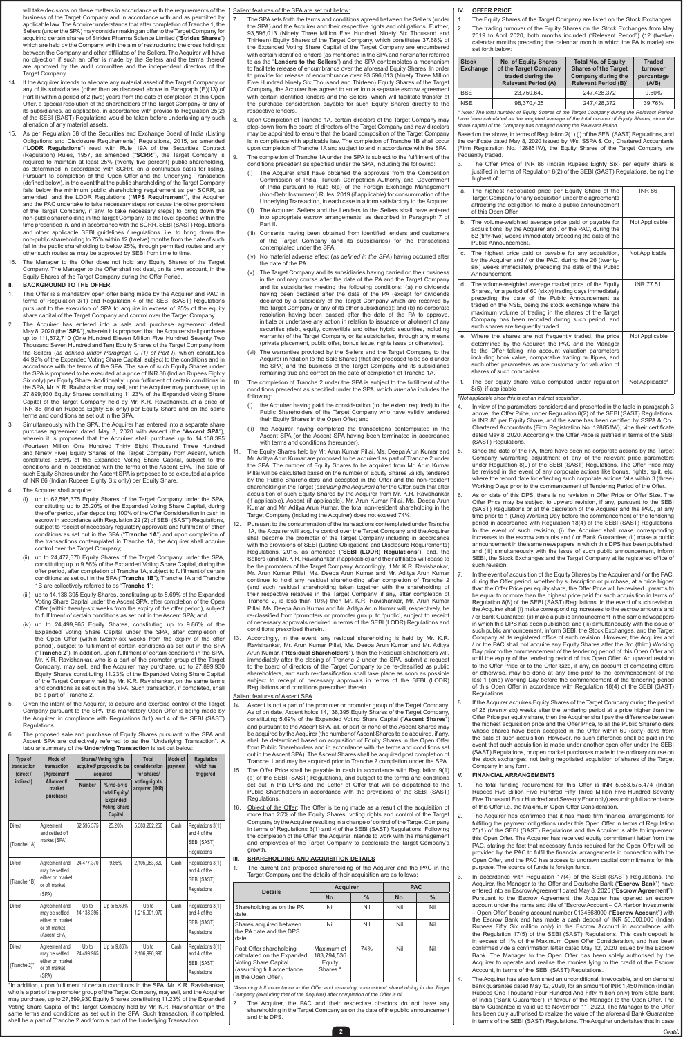will take decisions on these matters in accordance with the requirements of the  $\beta$ business of the Target Company and in accordance with and as permitted by applicable law. The Acquirer understands that after completion of Tranche 1, the Sellers (under the SPA) may consider making an offer to the Target Company for acquiring certain shares of Strides Pharma Science Limited ("**Strides Shares**") which are held by the Company, with the aim of restructuring the cross holdings between the Company and other affiliates of the Sellers. The Acquirer will have no objection if such an offer is made by the Sellers and the terms thereof are approved by the audit committee and the independent directors of the Target Company.

- 14. If the Acquirer intends to alienate any material asset of the Target Company or any of its subsidiaries (other than as disclosed above in Paragraph (E)(13) of Part II) within a period of 2 (two) years from the date of completion of this Open Offer, a special resolution of the shareholders of the Target Company or any of its subsidiaries, as applicable, in accordance with proviso to Regulation 25(2) of the SEBI (SAST) Regulations would be taken before undertaking any such alienation of any material assets.
- 15. As per Regulation 38 of the Securities and Exchange Board of India (Listing Obligations and Disclosure Requirements) Regulations, 2015, as amended ("**LODR Regulations**") read with Rule 19A of the Securities Contract (Regulation) Rules, 1957, as amended ("**SCRR**"), the Target Company is required to maintain at least 25% (twenty five percent) public shareholding, as determined in accordance with SCRR, on a continuous basis for listing. Pursuant to completion of this Open Offer and the Underlying Transaction (defined below), in the event that the public shareholding of the Target Company falls below the minimum public shareholding requirement as per SCRR, as amended, and the LODR Regulations ("**MPS Requirement**"), the Acquirer and the PAC undertake to take necessary steps (or cause the other promoters of the Target Company, if any, to take necessary steps) to bring down the non-public shareholding in the Target Company, to the level specified within the time prescribed in, and in accordance with the SCRR, SEBI (SAST) Regulations and other applicable SEBI guidelines / regulations. i.e. to bring down the non-public shareholding to 75% within 12 (twelve) months from the date of such fall in the public shareholding to below 25%, through permitted routes and any other such routes as may be approved by SEBI from time to time.
- 16. The Manager to the Offer does not hold any Equity Shares of the Target Company. The Manager to the Offer shall not deal, on its own account, in the Equity Shares of the Target Company during the Offer Period.

#### **II. BACKGROUND TO THE OFFER**

\*In addition, upon fulfilment of certain conditions in the SPA, Mr. K.R. Ravishankar, who is a part of the promoter group of the Target Company, may sell, and the Acquirer may purchase, up to 27,899,930 Equity Shares constituting 11.23% of the Expanded Voting Share Capital of the Target Company held by Mr. K.R. Ravishankar, on the same terms and conditions as set out in the SPA. Such transaction, if completed, shall be a part of Tranche 2 and form a part of the Underlying Transaction.

- 1. This Offer is a mandatory open offer being made by the Acquirer and PAC in terms of Regulation 3(1) and Regulation 4 of the SEBI (SAST) Regulations pursuant to the execution of SPA to acquire in excess of 25% of the equity share capital of the Target Company and control over the Target Company.
- 2. The Acquirer has entered into a sale and purchase agreement dated May 8, 2020 (the "**SPA**"), wherein it is proposed that the Acquirer shall purchase up to 111,572,710 (One Hundred Eleven Million Five Hundred Seventy Two Thousand Seven Hundred and Ten) Equity Shares of the Target Company from the Sellers (as defined under Paragraph C (1) of Part I), which constitutes 44.92% of the Expanded Voting Share Capital, subject to the conditions and in accordance with the terms of the SPA. The sale of such Equity Shares under the SPA is proposed to be executed at a price of INR 86 (Indian Rupees Eighty Six only) per Equity Share. Additionally, upon fulfilment of certain conditions in the SPA, Mr. K.R. Ravishankar, may sell, and the Acquirer may purchase, up to 27,899,930 Equity Shares constituting 11.23% of the Expanded Voting Share Capital of the Target Company held by Mr. K.R. Ravishankar, at a price of INR 86 (Indian Rupees Eighty Six only) per Equity Share and on the same terms and conditions as set out in the SPA.
- 3. Simultaneously with the SPA, the Acquirer has entered into a separate share purchase agreement dated May 8, 2020 with Ascent (the "**Ascent SPA**"), wherein it is proposed that the Acquirer shall purchase up to 14,138,395 (Fourteen Million One Hundred Thirty Eight Thousand Three Hundred and Ninety Five) Equity Shares of the Target Company from Ascent, which constitutes 5.69% of the Expanded Voting Share Capital, subject to the conditions and in accordance with the terms of the Ascent SPA. The sale of such Equity Shares under the Ascent SPA is proposed to be executed at a price of INR 86 (Indian Rupees Eighty Six only) per Equity Share.
- 4. The Acquirer shall acquire:
	- up to 62,595,375 Equity Shares of the Target Company under the SPA, constituting up to 25.20% of the Expanded Voting Share Capital, during the offer period, after depositing 100% of the Offer Consideration in cash in escrow in accordance with Regulation 22 (2) of SEBI (SAST) Regulations, subject to receipt of necessary regulatory approvals and fulfilment of other conditions as set out in the SPA ("**Tranche 1A**") and upon completion of the transactions contemplated in Tranche 1A, the Acquirer shall acquire control over the Target Company;
	- (ii) up to 24,477,370 Equity Shares of the Target Company under the SPA, constituting up to 9.86% of the Expanded Voting Share Capital, during the offer period, after completion of Tranche 1A, subject to fulfilment of certain conditions as set out in the SPA ("**Tranche 1B**"); Tranche 1A and Tranche 1B are collectively referred to as "**Tranche 1**";
	- (iii) up to 14,138,395 Equity Shares, constituting up to 5.69% of the Expanded Voting Share Capital under the Ascent SPA, after completion of the Open Offer (within twenty-six weeks from the expiry of the offer period), subject to fulfilment of certain conditions as set out in the Ascent SPA; and
	- (iv) up to 24,499,965 Equity Shares, constituting up to 9.86% of the Expanded Voting Share Capital under the SPA, after completion of the Open Offer (within twenty-six weeks from the expiry of the offer period), subject to fulfilment of certain conditions as set out in the SPA ("Tranche 2"). In addition, upon fulfilment of certain conditions in the SPA, Mr. K.R. Ravishankar, who is a part of the promoter group of the Target Company, may sell, and the Acquirer may purchase, up to 27,899,930 Equity Shares constituting 11.23% of the Expanded Voting Share Capital of the Target Company held by Mr. K.R. Ravishankar, on the same terms and conditions as set out in the SPA. Such transaction, if completed, shall be a part of Tranche 2.

Salient features of the SPA are set out below:

- 5. Given the intent of the Acquirer, to acquire and exercise control of the Target Company pursuant to the SPA, this mandatory Open Offer is being made by the Acquirer, in compliance with Regulations 3(1) and 4 of the SEBI (SAST) **Regulations**
- 6. The proposed sale and purchase of Equity Shares pursuant to the SPA and Ascent SPA are collectively referred to as the "Underlying Transaction". A tabular summary of the **Underlying Transaction** is set out below:

| Type of<br>transaction<br>(direct / | Mode of<br>transaction<br>(Agreement/                                                |                     | <b>Shares/ Voting rights</b><br>acquired/ proposed to be<br>acquired              | <b>Total</b><br>consideration<br>for shares/ | Mode of<br>payment | <b>Regulation</b><br>which has<br>triggered                           |
|-------------------------------------|--------------------------------------------------------------------------------------|---------------------|-----------------------------------------------------------------------------------|----------------------------------------------|--------------------|-----------------------------------------------------------------------|
| indirect)                           | Allotment/<br>market<br>purchase)                                                    | <b>Number</b>       | % vis-à-vis<br>total Equity/<br><b>Expanded</b><br><b>Voting Share</b><br>Capital | voting rights<br>acquired (INR)              |                    |                                                                       |
| <b>Direct</b><br>(Tranche 1A)       | Agreement<br>and settled off<br>market (SPA)                                         | 62,595,375          | 25.20%                                                                            | 5,383,202,250                                | Cash               | Regulations 3(1)<br>and 4 of the<br>SEBI (SAST)<br>Regulations        |
| <b>Direct</b><br>(Tranche 1B)       | Agreement and<br>may be settled<br>either on market<br>or off market<br>(SPA)        | 24,477,370          | 9.86%                                                                             | 2,105,053,820                                | Cash               | Regulations 3(1)<br>and 4 of the<br>SEBI (SAST)<br><b>Requlations</b> |
| <b>Direct</b>                       | Agreement and<br>may be settled<br>either on market<br>or off market<br>(Ascent SPA) | Up to<br>14,138,395 | Up to 5.69%                                                                       | Up to<br>1,215,901,970                       | Cash               | Regulations 3(1)<br>and 4 of the<br>SEBI (SAST)<br>Regulations        |
| <b>Direct</b><br>(Tranche $2$ )*    | Agreement and<br>may be settled<br>either on market<br>or off market<br>(SPA)        | Up to<br>24,499,965 | Up to 9.86%                                                                       | Up to<br>2,106,996,990                       | Cash               | Regulations 3(1)<br>and 4 of the<br>SEBI (SAST)<br>Regulations        |

- The Equity Shares of the Target Company are listed on the Stock Exchanges.
- The trading turnover of the Equity Shares on the Stock Exchanges from May 2019 to April 2020, both months included ("Relevant Period") (12 (twelve) calendar months preceding the calendar month in which the PA is made) are set forth below:
- 7. The SPA sets forth the terms and conditions agreed between the Sellers (under the SPA) and the Acquirer and their respective rights and obligations. Further, 93,596,013 (Ninety Three Million Five Hundred Ninety Six Thousand and Thirteen) Equity Shares of the Target Company, which constitutes 37.68% of the Expanded Voting Share Capital of the Target Company are encumbered with certain identified lenders (as mentioned in the SPA and hereinafter referred to as the "**Lenders to the Sellers**") and the SPA contemplates a mechanism to facilitate release of encumbrance over the aforesaid Equity Shares. In order to provide for release of encumbrance over 93,596,013 (Ninety Three Million Five Hundred Ninety Six Thousand and Thirteen) Equity Shares of the Target Company, the Acquirer has agreed to enter into a separate escrow agreement with certain identified lenders and the Sellers, which will facilitate transfer of the purchase consideration payable for such Equity Shares directly to the respective lenders.
- 8. Upon Completion of Tranche 1A, certain directors of the Target Company may step-down from the board of directors of the Target Company and new directors may be appointed to ensure that the board composition of the Target Company is in compliance with applicable law. The completion of Tranche 1B shall occur upon completion of Tranche 1A and subject to and in accordance with the SPA.
- 9. The completion of Tranche 1A under the SPA is subject to the fulfillment of the conditions precedent as specified under the SPA, including the following:
	- (i) The Acquirer shall have obtained the approvals from the Competition Commission of India, Turkish Competition Authority and Government of India pursuant to Rule 6(a) of the Foreign Exchange Management (Non-Debt Instrument) Rules, 2019 (if applicable) for consummation of the Underlying Transaction, in each case in a form satisfactory to the Acquirer.
	- The Acquirer, Sellers and the Lenders to the Sellers shall have entered into appropriate escrow arrangements, as described in Paragraph 7 of Part II.
	- (iii) Consents having been obtained from identified lenders and customers of the Target Company (and its subsidiaries) for the transactions contemplated under the SPA.
	- (iv) No material adverse effect (as defined in the SPA) having occurred after the date of the PA.
	- (v) The Target Company and its subsidiaries having carried on their business in the ordinary course after the date of the PA and the Target Company and its subsidiaries meeting the following conditions: (a) no dividends having been declared after the date of the PA (except for dividends declared by a subsidiary of the Target Company which are received by the Target Company or any of its other subsidiaries); and (b) no corporate resolution having been passed after the date of the PA to approve, initiate or undertake any action in relation to issuance or allotment of any securities (debt, equity, convertible and other hybrid securities, including warrants) of the Target Company or its subsidiaries, through any means (private placement, public offer, bonus issue, rights issue or otherwise).
	- (vi) The warranties provided by the Sellers and the Target Company to the Acquirer in relation to the Sale Shares (that are proposed to be sold under the SPA) and the business of the Target Company and its subsidiaries remaining true and correct on the date of completion of Tranche 1A.
- 10. The completion of Tranche 2 under the SPA is subject to the fulfillment of the conditions precedent as specified under the SPA, which *inter alia* includes the following:
	- (i) the Acquirer having paid the consideration (to the extent required) to the Public Shareholders of the Target Company who have validly tendered their Equity Shares in the Open Offer; and
	- (ii) the Acquirer having completed the transactions contemplated in the Ascent SPA (or the Ascent SPA having been terminated in accordance with terms and conditions thereunder).
- 11. The Equity Shares held by Mr. Arun Kumar Pillai, Ms. Deepa Arun Kumar and Mr. Aditya Arun Kumar are proposed to be acquired as part of Tranche 2 under the SPA. The number of Equity Shares to be acquired from Mr. Arun Kumar Pillai will be calculated based on the number of Equity Shares validly tendered by the Public Shareholders and accepted in the Offer and the non-resident shareholding in the Target (*excluding the Acquirer)* after the Offer, such that after acquisition of such Equity Shares by the Acquirer from Mr. K.R. Ravishankar (if applicable), Ascent (if applicable), Mr. Arun Kumar Pillai, Ms. Deepa Arun Kumar and Mr. Aditya Arun Kumar, the total non-resident shareholding in the Target Company (including the Acquirer) does not exceed 74%.
- 12. Pursuant to the consummation of the transactions contemplated under Tranche 1A, the Acquirer will acquire control over the Target Company and the Acquirer shall become the promoter of the Target Company including in accordance with the provisions of SEBI (Listing Obligations and Disclosure Requirements) Regulations, 2015, as amended ("**SEBI (LODR) Regulations**"), and, the Sellers (and Mr. K.R. Ravishankar, if applicable) and their affiliates will cease to be the promoters of the Target Company. Accordingly, if Mr. K.R. Ravishankar, Mr. Arun Kumar Pillai, Ms. Deepa Arun Kumar and Mr. Aditya Arun Kumar continue to hold any residual shareholding after completion of Tranche 2 (and such residual shareholding taken together with the shareholding of their respective relatives in the Target Company, if any, after completion of Tranche 2, is less than 10%) then Mr. K.R. Ravishankar, Mr. Arun Kumar Pillai, Ms. Deepa Arun Kumar and Mr. Aditya Arun Kumar will, respectively, be re-classified from 'promoters or promoter group' to 'public', subject to receipt of necessary approvals required in terms of the SEBI (LODR) Regulations and conditions prescribed therein.
- 13. Accordingly, in the event, any residual shareholding is held by Mr. K.R. Ravishankar, Mr. Arun Kumar Pillai, Ms. Deepa Arun Kumar and Mr. Aditya Arun Kumar, ("**Residual Shareholders**"), then the Residual Shareholders will,

- The total funding requirement for this Offer is INR 5,553,575,474 (Indian Rupees Five Billion Five Hundred Fifty Three Million Five Hundred Seventy Five Thousand Four Hundred and Seventy Four only) assuming full acceptance of this Offer i.e. the Maximum Open Offer Consideration.
- 2. The Acquirer has confirmed that it has made firm financial arrangements for fulfilling the payment obligations under this Open Offer in terms of Regulation 25(1) of the SEBI (SAST) Regulations and the Acquirer is able to implement this Open Offer. The Acquirer has received equity commitment letter from the PAC, stating the fact that necessary funds required for the Open Offer will be provided by the PAC to fulfil the financial arrangements in connection with the Open Offer, and the PAC has access to undrawn capital commitments for this purpose. The source of funds is foreign funds.
- 3. In accordance with Regulation 17(4) of the SEBI (SAST) Regulations, the Acquirer, the Manager to the Offer and Deutsche Bank ("**Escrow Bank**") have entered into an Escrow Agreement dated May 8, 2020 ("**Escrow Agreement**"). Pursuant to the Escrow Agreement, the Acquirer has opened an escrow account under the name and title of "Escrow Account – CA Harbor Investments – Open Offer" bearing account number 0134668000 ("**Escrow Account**") with the Escrow Bank and has made a cash deposit of INR 56,000,000 (Indian Rupees Fifty Six million only) in the Escrow Account in accordance with the Regulation 17(5) of the SEBI (SAST) Regulations. This cash deposit is in excess of 1% of the Maximum Open Offer Consideration, and has been confirmed vide a confirmation letter dated May 12, 2020 issued by the Escrow Bank. The Manager to the Open Offer has been solely authorised by the Acquirer to operate and realise the monies lying to the credit of the Escrow Account, in terms of the SEBI (SAST) Regulations.
- 4. The Acquirer has also furnished an unconditional, irrevocable, and on demand bank guarantee dated May 12, 2020, for an amount of INR 1,450 million (Indian Rupees One Thousand Four Hundred And Fifty million only) from State Bank of India ("Bank Guarantee"), in favour of the Manager to the Open Offer. The Bank Guarantee is valid up to November 11, 2020. The Manager to the Offer has been duly authorised to realize the value of the aforesaid Bank Guarantee in terms of the SEBI (SAST) Regulations. The Acquirer undertakes that in case

immediately after the closing of Tranche 2 under the SPA, submit a request to the board of directors of the Target Company to be re-classified as public shareholders, and such re-classification shall take place as soon as possible subject to receipt of necessary approvals in terms of the SEBI (LODR) Regulations and conditions prescribed therein.

#### Salient features of Ascent SPA

- 14. Ascent is not a part of the promoter or promoter group of the Target Company. As of on date, Ascent holds 14,138,395 Equity Shares of the Target Company, constituting 5.69% of the Expanded Voting Share Capital ("**Ascent Shares**") and pursuant to the Ascent SPA, all, or part or none of the Ascent Shares may be acquired by the Acquirer (the number of Ascent Shares to be acquired, if any, shall be determined based on acquisition of Equity Shares in the Open Offer from Public Shareholders and in accordance with the terms and conditions set out in the Ascent SPA). The Ascent Shares shall be acquired post completion of Tranche 1 and may be acquired prior to Tranche 2 completion under the SPA.
- 15. The Offer Price shall be payable in cash in accordance with Regulation 9(1) (a) of the SEBI (SAST) Regulations, and subject to the terms and conditions set out in this DPS and the Letter of Offer that will be dispatched to the Public Shareholders in accordance with the provisions of the SEBI (SAST) Regulations.
- 16. Object of the Offer: The Offer is being made as a result of the acquisition of more than 25% of the Equity Shares, voting rights and control of the Target Company by the Acquirer resulting in a change of control of the Target Company in terms of Regulations 3(1) and 4 of the SEBI (SAST) Regulations. Following the completion of the Offer, the Acquirer intends to work with the management and employees of the Target Company to accelerate the Target Company's growth.

#### **III. SHAREHOLDING AND ACQUISITION DETAILS**

1. The current and proposed shareholding of the Acquirer and the PAC in the Target Company and the details of their acquisition are as follows:

| <b>Details</b>                                                                                                                           | <b>Acquirer</b>                                |               |     | <b>PAC</b>    |
|------------------------------------------------------------------------------------------------------------------------------------------|------------------------------------------------|---------------|-----|---------------|
|                                                                                                                                          | No.                                            | $\frac{0}{0}$ | No. | $\frac{0}{0}$ |
| Shareholding as on the PA<br>date.                                                                                                       | Nil                                            | Nil           | Nil | Nil           |
| Shares acquired between<br>the PA date and the DPS<br>date.                                                                              | Nil                                            | Nil           | Nil | Nil           |
| Post Offer shareholding<br>calculated on the Expanded<br><b>Voting Share Capital</b><br>(assuming full acceptance<br>in the Open Offer). | Maximum of<br>183.794.536<br>Equity<br>Shares* | <b>74%</b>    | Nil | Nil           |

*\*Assuming full acceptance in the Offer and assuming non-resident shareholding in the Target Company (excluding that of the Acquirer) after completion of the Offer is nil.*

2. The Acquirer, the PAC and their respective directors do not have any shareholding in the Target Company as on the date of the public announcement and this DPS.

#### **IV. OFFER PRICE**

| <b>Stock</b><br><b>Exchange</b> | <b>No. of Equity Shares</b><br>of the Target Company<br>traded during the<br><b>Relevant Period (A)</b> | <b>Total No. of Equity</b><br><b>Shares of the Target</b><br>Company during the<br><b>Relevant Period (B)*</b> | <b>Traded</b><br>turnover<br>percentage<br>(A/B) |
|---------------------------------|---------------------------------------------------------------------------------------------------------|----------------------------------------------------------------------------------------------------------------|--------------------------------------------------|
| <b>BSE</b>                      | 23.750.640                                                                                              | 247,428,372                                                                                                    | 9.60%                                            |
| <b>NSF</b>                      | 98.370.425                                                                                              | 247,428,372                                                                                                    | 39.76%                                           |

*\* Note: The total number of Equity Shares of the Target Company during the Relevant Period, have been calculated as the weighted average of the total number of Equity Shares, since the share capital of the Company has changed during the Relevant Period.*

Based on the above, in terms of Regulation 2(1) (j) of the SEBI (SAST) Regulations, and the certificate dated May 8, 2020 issued by M/s. SSPA & Co., Chartered Accountants (Firm Registration No. 128851W), the Equity Shares of the Target Company are frequently traded.

The Offer Price of INR 86 (Indian Rupees Eighty Six) per equity share is justified in terms of Regulation 8(2) of the SEBI (SAST) Regulations, being the highest of:

| a. | The highest negotiated price per Equity Share of the<br>Target Company for any acquisition under the agreements<br>attracting the obligation to make a public announcement<br>of this Open Offer.                                                                                                                                                                                      | <b>INR 86</b>               |
|----|----------------------------------------------------------------------------------------------------------------------------------------------------------------------------------------------------------------------------------------------------------------------------------------------------------------------------------------------------------------------------------------|-----------------------------|
| b. | The volume-weighted average price paid or payable for<br>acquisitions, by the Acquirer and / or the PAC, during the<br>52 (fifty-two) weeks immediately preceding the date of the<br>Public Announcement.                                                                                                                                                                              | Not Applicable              |
| C. | The highest price paid or payable for any acquisition,<br>by the Acquirer and / or the PAC, during the 26 (twenty-<br>six) weeks immediately preceding the date of the Public<br>Announcement.                                                                                                                                                                                         | Not Applicable              |
| d. | The volume-weighted average market price of the Equity<br>Shares, for a period of 60 (sixty) trading days immediately<br>preceding the date of the Public Announcement as<br>traded on the NSE, being the stock exchange where the<br>maximum volume of trading in the shares of the Target<br>Company has been recorded during such period, and<br>such shares are frequently traded. | <b>INR 77.51</b>            |
| е. | Where the shares are not frequently traded, the price<br>determined by the Acquirer, the PAC and the Manager<br>to the Offer taking into account valuation parameters<br>including book value, comparable trading multiples, and<br>such other parameters as are customary for valuation of<br>shares of such companies.                                                               | Not Applicable              |
| f  | The per equity share value computed under regulation<br>8(5), if applicable                                                                                                                                                                                                                                                                                                            | Not Applicable <sup>#</sup> |

*# Not applicable since this is not an indirect acquisition.*

- 4. In view of the parameters considered and presented in the table in paragraph 3 above, the Offer Price, under Regulation 8(2) of the SEBI (SAST) Regulations, is INR 86 per Equity Share, and the same has been certified by SSPA & Co., Chartered Accountants (Firm Registration No. 128851W), vide their certificate dated May 8, 2020. Accordingly, the Offer Price is justified in terms of the SEBI (SAST) Regulations.
- Since the date of the PA, there have been no corporate actions by the Target Company warranting adjustment of any of the relevant price parameters under Regulation 8(9) of the SEBI (SAST) Regulations. The Offer Price may be revised in the event of any corporate actions like bonus, rights, split, etc. where the record date for effecting such corporate actions falls within 3 (three) Working Days prior to the commencement of Tendering Period of the Offer.
- 6. As on date of this DPS, there is no revision in Offer Price or Offer Size. The Offer Price may be subject to upward revision, if any, pursuant to the SEBI (SAST) Regulations or at the discretion of the Acquirer and the PAC, at any time prior to 1 (One) Working Day before the commencement of the tendering period in accordance with Regulation 18(4) of the SEBI (SAST) Regulations. In the event of such revision, (i) the Acquirer shall make corresponding increases to the escrow amounts and / or Bank Guarantee; (ii) make a public announcement in the same newspapers in which this DPS has been published; and (iii) simultaneously with the issue of such public announcement, inform SEBI, the Stock Exchanges and the Target Company at its registered office of such revision.
- In the event of acquisition of the Equity Shares by the Acquirer and / or the PAC, during the Offer period, whether by subscription or purchase, at a price higher than the Offer Price per equity share, the Offer Price will be revised upwards to be equal to or more than the highest price paid for such acquisition in terms of Regulation 8(8) of the SEBI (SAST) Regulations. In the event of such revision, the Acquirer shall (i) make corresponding increases to the escrow amounts and / or Bank Guarantee; (ii) make a public announcement in the same newspapers in which this DPS has been published; and (iii) simultaneously with the issue of such public announcement, inform SEBI, the Stock Exchanges, and the Target Company at its registered office of such revision. However, the Acquirer and / or the PAC shall not acquire any Equity Shares after the 3rd (third) Working Day prior to the commencement of the tendering period of this Open Offer and until the expiry of the tendering period of this Open Offer. An upward revision to the Offer Price or to the Offer Size, if any, on account of competing offers or otherwise, may be done at any time prior to the commencement of the last 1 (one) Working Day before the commencement of the tendering period of this Open Offer in accordance with Regulation 18(4) of the SEBI (SAST) Regulations. 8. If the Acquirer acquires Equity Shares of the Target Company during the period of 26 (twenty six) weeks after the tendering period at a price higher than the Offer Price per equity share, then the Acquirer shall pay the difference between the highest acquisition price and the Offer Price, to all the Public Shareholders whose shares have been accepted in the Offer within 60 (sixty) days from the date of such acquisition. However, no such difference shall be paid in the event that such acquisition is made under another open offer under the SEBI (SAST) Regulations, or open market purchases made in the ordinary course on the stock exchanges, not being negotiated acquisition of shares of the Target Company in any form.

#### **V. FINANCIAL ARRANGEMENTS**